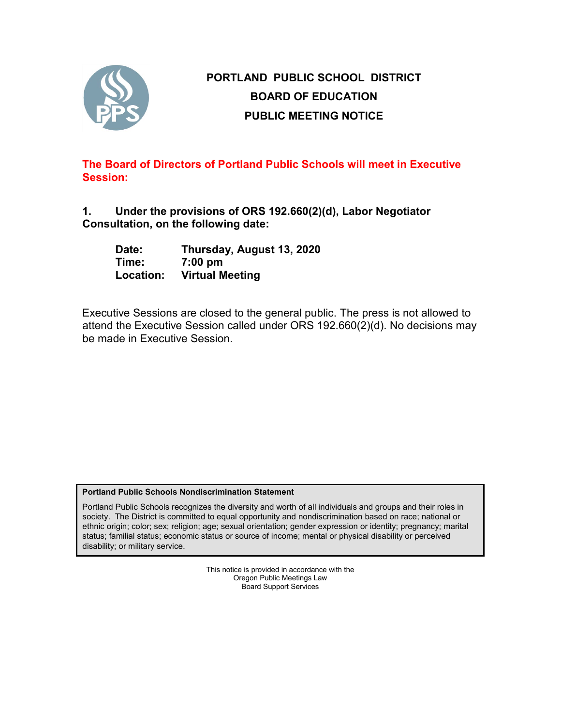

# **PORTLAND PUBLIC SCHOOL DISTRICT BOARD OF EDUCATION PUBLIC MEETING NOTICE**

**The Board of Directors of Portland Public Schools will meet in Executive Session:**

**1. Under the provisions of ORS 192.660(2)(d), Labor Negotiator Consultation, on the following date:**

| Date:     | Thursday, August 13, 2020 |
|-----------|---------------------------|
| Time:     | $7:00$ pm                 |
| Location: | <b>Virtual Meeting</b>    |

Executive Sessions are closed to the general public. The press is not allowed to attend the Executive Session called under ORS 192.660(2)(d). No decisions may be made in Executive Session.

## **Portland Public Schools Nondiscrimination Statement**

Portland Public Schools recognizes the diversity and worth of all individuals and groups and their roles in society. The District is committed to equal opportunity and nondiscrimination based on race; national or ethnic origin; color; sex; religion; age; sexual orientation; gender expression or identity; pregnancy; marital status; familial status; economic status or source of income; mental or physical disability or perceived disability; or military service.

> This notice is provided in accordance with the Oregon Public Meetings Law Board Support Services